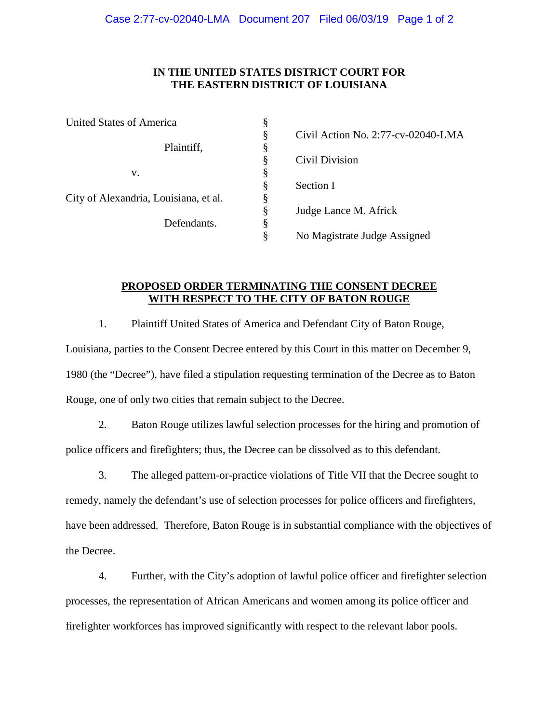## **IN THE UNITED STATES DISTRICT COURT FOR THE EASTERN DISTRICT OF LOUISIANA**

| United States of America              | § |                                    |
|---------------------------------------|---|------------------------------------|
|                                       | § | Civil Action No. 2:77-cv-02040-LMA |
| Plaintiff,                            |   |                                    |
|                                       | § | Civil Division                     |
| v.                                    |   |                                    |
|                                       | § | Section I                          |
| City of Alexandria, Louisiana, et al. | ş |                                    |
|                                       | § | Judge Lance M. Africk              |
| Defendants.                           | § |                                    |
|                                       |   | No Magistrate Judge Assigned       |

## **PROPOSED ORDER TERMINATING THE CONSENT DECREE WITH RESPECT TO THE CITY OF BATON ROUGE**

1. Plaintiff United States of America and Defendant City of Baton Rouge, Louisiana, parties to the Consent Decree entered by this Court in this matter on December 9, 1980 (the "Decree"), have filed a stipulation requesting termination of the Decree as to Baton Rouge, one of only two cities that remain subject to the Decree.

2. Baton Rouge utilizes lawful selection processes for the hiring and promotion of police officers and firefighters; thus, the Decree can be dissolved as to this defendant.

3. The alleged pattern-or-practice violations of Title VII that the Decree sought to remedy, namely the defendant's use of selection processes for police officers and firefighters, have been addressed. Therefore, Baton Rouge is in substantial compliance with the objectives of the Decree.

4. Further, with the City's adoption of lawful police officer and firefighter selection processes, the representation of African Americans and women among its police officer and firefighter workforces has improved significantly with respect to the relevant labor pools.